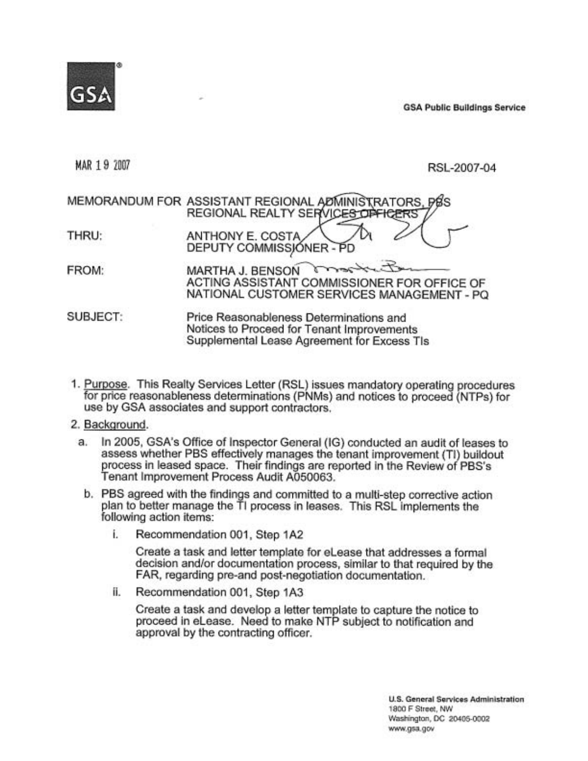

GSA **Public Buildings Service** 

MAR 19 2001 RSL-2007-04

# MEMORANDUM FOR ASSISTANT REGIONAL REGIONAL REALTY SE THRU: **ANTHONY E. COSTA** DEPUTY COMMISSIONER - PD FROM: ACTING ASSISTANT COMMISSIONER FOR OFFICE OF **MARTHA J. BENSON** NATIONAL CUSTOMER SERVICES MANAGEMENT - PQ RSL-2007-04<br>
IT REGIONAL ADMINISTRATORS, DOS<br>
L. REALTY SERVICES OFFICERS<br>
COMMISSIONER - PD<br>
J. BENSON COMMISSIONER FOR OFFICE OF<br>
SSISTANT COMMISSIONER FOR OFFICE OF<br>
L. CUSTOMER SERVICES MANAGEMENT - PQ SUBJECT: Price Reasonableness Determinations and Notices to Proceed for Tenant Improvements Supplemental Lease Agreement for Excess Tls

1. Purpose. This Realty Services Letter (RSL) issues mandatory operating procedures for price reasonableness determinations (PNMs) and notices to proceed (NTPs) for use by GSA associates and support contractors.

## 2. Backqround.

- a. In 2005, GSA's Office of Inspector General (IG) conducted an audit of leases to assess whether PBS effectively manages the tenant improvement (TI) buildout process in leased space. Their findings are reported in the Review of PBS's Tenant Improvement Process Audit A050063.
	- b. PBS agreed with the findings and committed to a multi-step corrective action plan to better manage the TI process in leases. This RSL implements the following action items:
		- i. Recommendation 001, Step 1A2

Create a task and letter template for eLease that addresses a formal decision and/or documentation process, similar to that required by the FAR, regarding pre-and post-negotiation documentation.

ii. Recommendation 001, Step 1A3

Create a task and develop a letter template to capture the notice to proceed in elease. Need to make NTP subject to notification and approval by the contracting officer.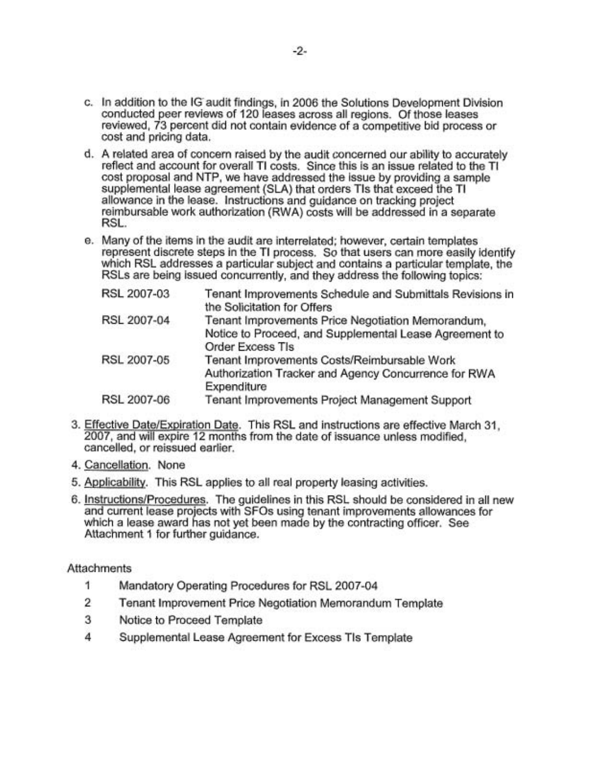- c. In addition to the IG audit findings, in 2006 the Solutions Development Division conducted peer reviews of 120 leases across all regions. Of those leases reviewed, 73 percent did not contain evidence of a competitive bid process or cost and pricing data.
- d. A related area of concern raised by the audit concerned our ability to accurately reflect and account for overall TI costs. Since this is an issue related to the TI cost proposal and NTP, we have addressed the issue by providing a sample supplemental lease agreement (SLA) that orders Tls that exceed the TI allowance in the lease. Instructions and guidance on tracking project reimbursable work authorization (RWA) costs will be addressed in a separate RSL.
- e. Many of the items in the audit are interrelated; however, certain templates represent discrete steps in the TI process. So that users can more easily identify which RSL addresses a particular subject and contains a particular template, the RSLs are being issued concurrently, and they address the following topics:

| RSL 2007-03 | Tenant Improvements Schedule and Submittals Revisions in<br>the Solicitation for Offers |
|-------------|-----------------------------------------------------------------------------------------|
| RSL 2007-04 | Tenant Improvements Price Negotiation Memorandum,                                       |
|             | Notice to Proceed, and Supplemental Lease Agreement to                                  |
|             | <b>Order Excess TIs</b>                                                                 |
| RSL 2007-05 | Tenant Improvements Costs/Reimbursable Work                                             |
|             | Authorization Tracker and Agency Concurrence for RWA                                    |
|             | Expenditure                                                                             |
| RSL 2007-06 | Tenant Improvements Project Management Support                                          |
|             |                                                                                         |

- 3. Effective Date/Expiration Date. This RSL and instructions are effective March 31. 2007, and will expire 12 months from the date of issuance unless modified, cancelled, or reissued earlier.
- 4. Cancellation. None
- 5. Applicabilitv. This RSL applies to all real property leasing activities.
- 6. InstructionslProcedures. The guidelines in this RSL should be considered in all new and current lease projects with SFOs using tenant improvements allowances for which a lease award has not yet been made by the contracting officer. See Attachment 1 for further guidance.

**Attachments** 

- 1 Mandatory Operating Procedures for RSL 2007-04
- 2 Tenant Improvement Price Negotiation Memorandum Template
- 3 Notice to Proceed Template
- 4 Supplemental Lease Agreement for Excess Tls Template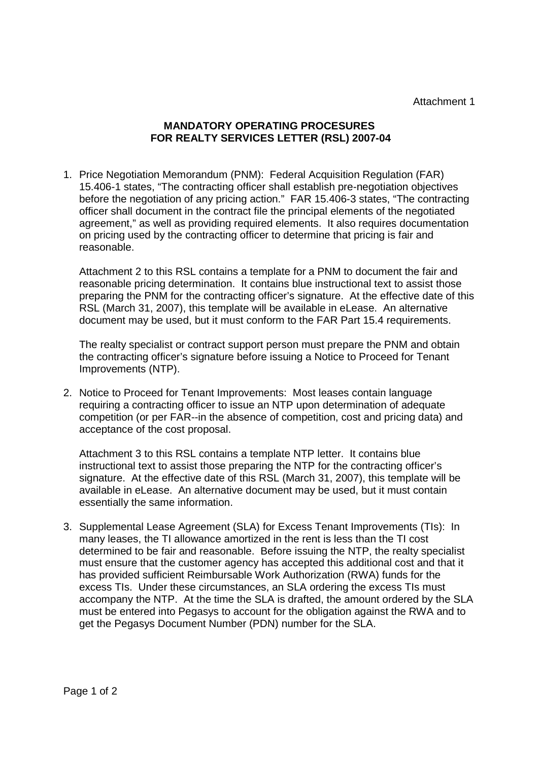Attachment 1

## **MANDATORY OPERATING PROCESURES FOR REALTY SERVICES LETTER (RSL) 2007-04**

1. Price Negotiation Memorandum (PNM): Federal Acquisition Regulation (FAR) 15.406-1 states, "The contracting officer shall establish pre-negotiation objectives before the negotiation of any pricing action." FAR 15.406-3 states, "The contracting officer shall document in the contract file the principal elements of the negotiated agreement," as well as providing required elements. It also requires documentation on pricing used by the contracting officer to determine that pricing is fair and reasonable.

Attachment 2 to this RSL contains a template for a PNM to document the fair and reasonable pricing determination. It contains blue instructional text to assist those preparing the PNM for the contracting officer's signature. At the effective date of this RSL (March 31, 2007), this template will be available in eLease. An alternative document may be used, but it must conform to the FAR Part 15.4 requirements.

The realty specialist or contract support person must prepare the PNM and obtain the contracting officer's signature before issuing a Notice to Proceed for Tenant Improvements (NTP).

2. Notice to Proceed for Tenant Improvements: Most leases contain language requiring a contracting officer to issue an NTP upon determination of adequate competition (or per FAR--in the absence of competition, cost and pricing data) and acceptance of the cost proposal.

Attachment 3 to this RSL contains a template NTP letter. It contains blue instructional text to assist those preparing the NTP for the contracting officer's signature. At the effective date of this RSL (March 31, 2007), this template will be available in eLease. An alternative document may be used, but it must contain essentially the same information.

3. Supplemental Lease Agreement (SLA) for Excess Tenant Improvements (TIs): In many leases, the TI allowance amortized in the rent is less than the TI cost determined to be fair and reasonable. Before issuing the NTP, the realty specialist must ensure that the customer agency has accepted this additional cost and that it has provided sufficient Reimbursable Work Authorization (RWA) funds for the excess TIs. Under these circumstances, an SLA ordering the excess TIs must accompany the NTP. At the time the SLA is drafted, the amount ordered by the SLA must be entered into Pegasys to account for the obligation against the RWA and to get the Pegasys Document Number (PDN) number for the SLA.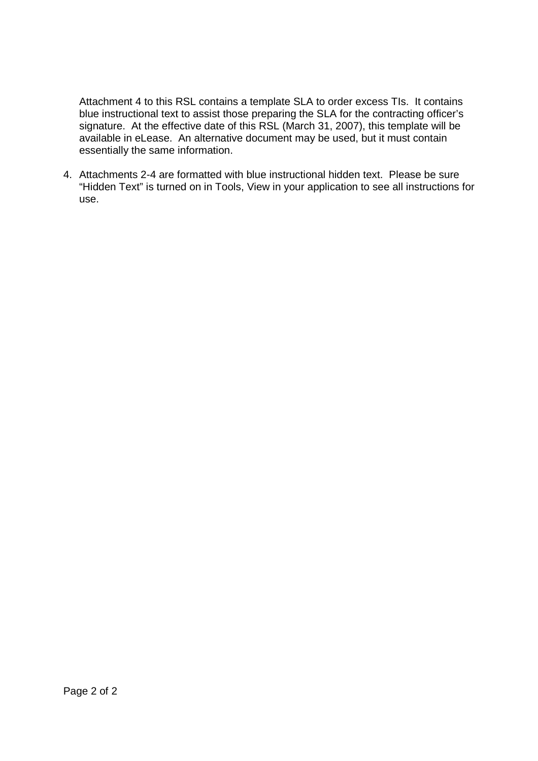Attachment 4 to this RSL contains a template SLA to order excess TIs. It contains blue instructional text to assist those preparing the SLA for the contracting officer's signature. At the effective date of this RSL (March 31, 2007), this template will be available in eLease. An alternative document may be used, but it must contain essentially the same information.

4. Attachments 2-4 are formatted with blue instructional hidden text. Please be sure "Hidden Text" is turned on in Tools, View in your application to see all instructions for use.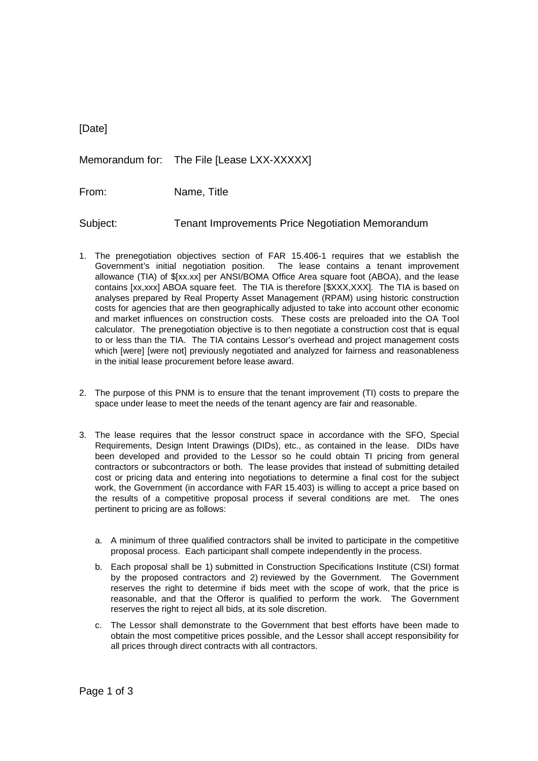| [Date]   |                                                         |
|----------|---------------------------------------------------------|
|          | Memorandum for: The File [Lease LXX-XXXXX]              |
| From:    | Name, Title                                             |
| Subject: | <b>Tenant Improvements Price Negotiation Memorandum</b> |

- 1. The prenegotiation objectives section of FAR 15.406-1 requires that we establish the Government's initial negotiation position. The lease contains a tenant improvement allowance (TIA) of \$[xx.xx] per ANSI/BOMA Office Area square foot (ABOA), and the lease contains [xx,xxx] ABOA square feet. The TIA is therefore [\$XXX,XXX]. The TIA is based on analyses prepared by Real Property Asset Management (RPAM) using historic construction costs for agencies that are then geographically adjusted to take into account other economic and market influences on construction costs. These costs are preloaded into the OA Tool calculator. The prenegotiation objective is to then negotiate a construction cost that is equal to or less than the TIA. The TIA contains Lessor's overhead and project management costs which [were] [were not] previously negotiated and analyzed for fairness and reasonableness in the initial lease procurement before lease award.
- 2. The purpose of this PNM is to ensure that the tenant improvement (TI) costs to prepare the space under lease to meet the needs of the tenant agency are fair and reasonable.
- 3. The lease requires that the lessor construct space in accordance with the SFO, Special Requirements, Design Intent Drawings (DIDs), etc., as contained in the lease. DIDs have been developed and provided to the Lessor so he could obtain TI pricing from general contractors or subcontractors or both. The lease provides that instead of submitting detailed cost or pricing data and entering into negotiations to determine a final cost for the subject work, the Government (in accordance with FAR 15.403) is willing to accept a price based on the results of a competitive proposal process if several conditions are met. The ones pertinent to pricing are as follows:
	- a. A minimum of three qualified contractors shall be invited to participate in the competitive proposal process. Each participant shall compete independently in the process.
	- b. Each proposal shall be 1) submitted in Construction Specifications Institute (CSI) format by the proposed contractors and 2) reviewed by the Government. The Government reserves the right to determine if bids meet with the scope of work, that the price is reasonable, and that the Offeror is qualified to perform the work. The Government reserves the right to reject all bids, at its sole discretion.
	- c. The Lessor shall demonstrate to the Government that best efforts have been made to obtain the most competitive prices possible, and the Lessor shall accept responsibility for all prices through direct contracts with all contractors.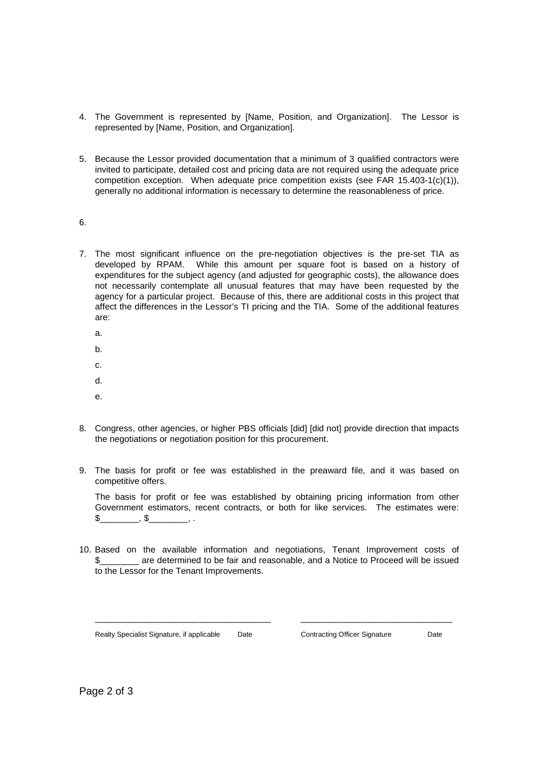- 4. The Government is represented by [Name, Position, and Organization]. The Lessor is represented by [Name, Position, and Organization].
- 5. Because the Lessor provided documentation that a minimum of 3 qualified contractors were invited to participate, detailed cost and pricing data are not required using the adequate price competition exception. When adequate price competition exists (see FAR  $15.403-1(c)(1)$ ), generally no additional information is necessary to determine the reasonableness of price.
- 6.
- 7. The most significant influence on the pre-negotiation objectives is the pre-set TIA as developed by RPAM. While this amount per square foot is based on a history of expenditures for the subject agency (and adjusted for geographic costs), the allowance does not necessarily contemplate all unusual features that may have been requested by the agency for a particular project. Because of this, there are additional costs in this project that affect the differences in the Lessor's TI pricing and the TIA. Some of the additional features are:
	- a.
	- b.
	- c.
	- d.
	- e.
- 8. Congress, other agencies, or higher PBS officials [did] [did not] provide direction that impacts the negotiations or negotiation position for this procurement.
- 9. The basis for profit or fee was established in the preaward file, and it was based on competitive offers.

The basis for profit or fee was established by obtaining pricing information from other Government estimators, recent contracts, or both for like services. The estimates were:  $\frac{1}{2}$  ,  $\frac{1}{2}$  , ...

10. Based on the available information and negotiations, Tenant Improvement costs of \$\_\_\_\_\_\_\_\_ are determined to be fair and reasonable, and a Notice to Proceed will be issued to the Lessor for the Tenant Improvements.

\_\_\_\_\_\_\_\_\_\_\_\_\_\_\_\_\_\_\_\_\_\_\_\_\_\_\_\_\_\_\_\_\_\_\_\_ \_\_\_\_\_\_\_\_\_\_\_\_\_\_\_\_\_\_\_\_\_\_\_\_\_\_\_\_\_\_\_

Realty Specialist Signature, if applicable Date Contracting Officer Signature Date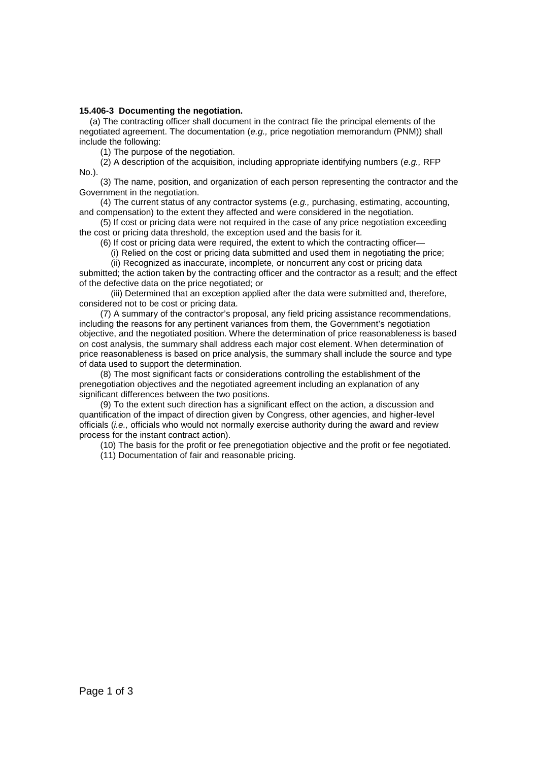### **15.406-3 Documenting the negotiation.**

(a) The contracting officer shall document in the contract file the principal elements of the negotiated agreement. The documentation (*e.g.,* price negotiation memorandum (PNM)) shall include the following:

(1) The purpose of the negotiation.

(2) A description of the acquisition, including appropriate identifying numbers (*e.g.,* RFP No.).

(3) The name, position, and organization of each person representing the contractor and the Government in the negotiation.

(4) The current status of any contractor systems (*e.g.,* purchasing, estimating, accounting, and compensation) to the extent they affected and were considered in the negotiation.

(5) If cost or pricing data were not required in the case of any price negotiation exceeding the cost or pricing data threshold, the exception used and the basis for it.

(6) If cost or pricing data were required, the extent to which the contracting officer—

(i) Relied on the cost or pricing data submitted and used them in negotiating the price;

(ii) Recognized as inaccurate, incomplete, or noncurrent any cost or pricing data submitted; the action taken by the contracting officer and the contractor as a result; and the effect of the defective data on the price negotiated; or

(iii) Determined that an exception applied after the data were submitted and, therefore, considered not to be cost or pricing data.

(7) A summary of the contractor's proposal, any field pricing assistance recommendations, including the reasons for any pertinent variances from them, the Government's negotiation objective, and the negotiated position. Where the determination of price reasonableness is based on cost analysis, the summary shall address each major cost element. When determination of price reasonableness is based on price analysis, the summary shall include the source and type of data used to support the determination.

(8) The most significant facts or considerations controlling the establishment of the prenegotiation objectives and the negotiated agreement including an explanation of any significant differences between the two positions.

(9) To the extent such direction has a significant effect on the action, a discussion and quantification of the impact of direction given by Congress, other agencies, and higher-level officials (*i.e.,* officials who would not normally exercise authority during the award and review process for the instant contract action).

(10) The basis for the profit or fee prenegotiation objective and the profit or fee negotiated.

(11) Documentation of fair and reasonable pricing.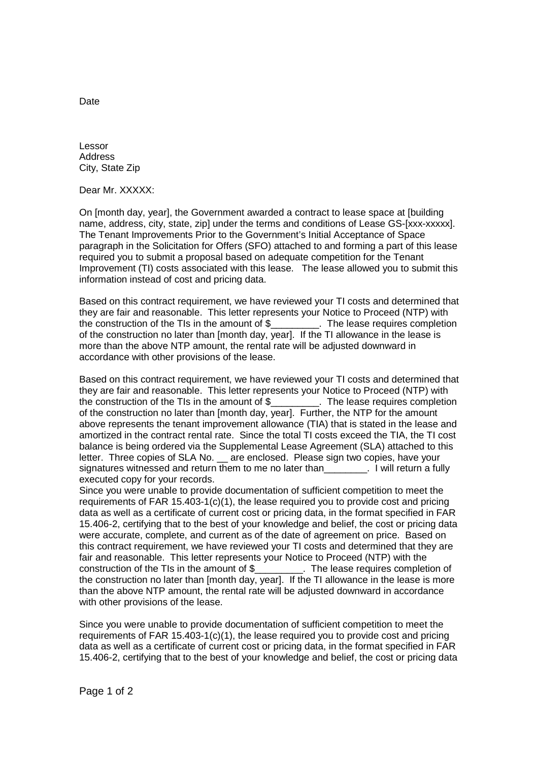Lessor Address City, State Zip

Dear Mr. XXXXX:

On [month day, year], the Government awarded a contract to lease space at [building name, address, city, state, zip] under the terms and conditions of Lease GS-[xxx-xxxxx]. The Tenant Improvements Prior to the Government's Initial Acceptance of Space paragraph in the Solicitation for Offers (SFO) attached to and forming a part of this lease required you to submit a proposal based on adequate competition for the Tenant Improvement (TI) costs associated with this lease. The lease allowed you to submit this information instead of cost and pricing data.

Based on this contract requirement, we have reviewed your TI costs and determined that they are fair and reasonable. This letter represents your Notice to Proceed (NTP) with the construction of the TIs in the amount of \$ The lease requires completion of the construction no later than [month day, year]. If the TI allowance in the lease is more than the above NTP amount, the rental rate will be adjusted downward in accordance with other provisions of the lease.

Based on this contract requirement, we have reviewed your TI costs and determined that they are fair and reasonable. This letter represents your Notice to Proceed (NTP) with the construction of the TIs in the amount of \$\_\_\_\_\_\_\_\_\_. The lease requires completion the construction of the TIs in the amount of \$ of the construction no later than [month day, year]. Further, the NTP for the amount above represents the tenant improvement allowance (TIA) that is stated in the lease and amortized in the contract rental rate. Since the total TI costs exceed the TIA, the TI cost balance is being ordered via the Supplemental Lease Agreement (SLA) attached to this letter. Three copies of SLA No. \_\_ are enclosed. Please sign two copies, have your signatures witnessed and return them to me no later than **Example 20**. I will return a fully executed copy for your records.

Since you were unable to provide documentation of sufficient competition to meet the requirements of FAR 15.403-1(c)(1), the lease required you to provide cost and pricing data as well as a certificate of current cost or pricing data, in the format specified in FAR 15.406-2, certifying that to the best of your knowledge and belief, the cost or pricing data were accurate, complete, and current as of the date of agreement on price. Based on this contract requirement, we have reviewed your TI costs and determined that they are fair and reasonable. This letter represents your Notice to Proceed (NTP) with the construction of the TIs in the amount of \$\_\_\_\_\_\_\_\_\_. The lease requires completion of the construction no later than [month day, year]. If the TI allowance in the lease is more than the above NTP amount, the rental rate will be adjusted downward in accordance with other provisions of the lease.

Since you were unable to provide documentation of sufficient competition to meet the requirements of FAR 15.403-1(c)(1), the lease required you to provide cost and pricing data as well as a certificate of current cost or pricing data, in the format specified in FAR 15.406-2, certifying that to the best of your knowledge and belief, the cost or pricing data

Date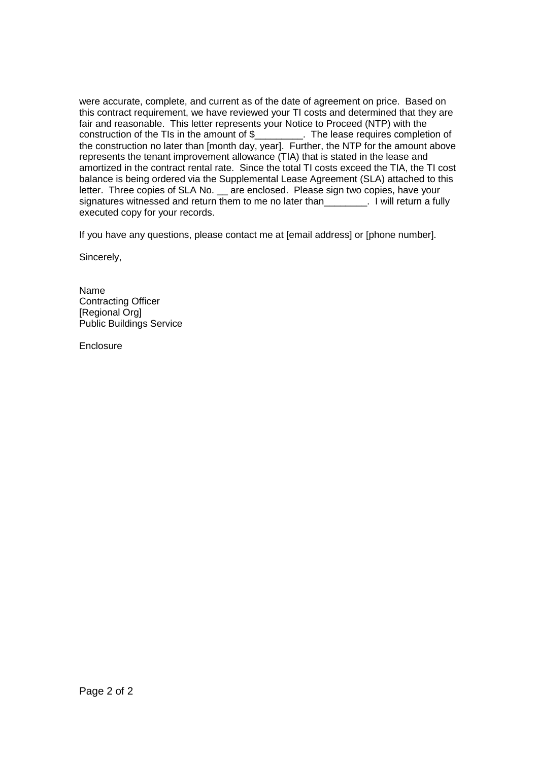were accurate, complete, and current as of the date of agreement on price. Based on this contract requirement, we have reviewed your TI costs and determined that they are fair and reasonable. This letter represents your Notice to Proceed (NTP) with the construction of the TIs in the amount of \$\_\_\_\_\_\_\_\_\_. The lease requires completion of the construction no later than [month day, year]. Further, the NTP for the amount above represents the tenant improvement allowance (TIA) that is stated in the lease and amortized in the contract rental rate. Since the total TI costs exceed the TIA, the TI cost balance is being ordered via the Supplemental Lease Agreement (SLA) attached to this letter. Three copies of SLA No. \_ are enclosed. Please sign two copies, have your signatures witnessed and return them to me no later than 100 million return a fully executed copy for your records.

If you have any questions, please contact me at [email address] or [phone number].

Sincerely,

Name Contracting Officer [Regional Org] Public Buildings Service

**Enclosure**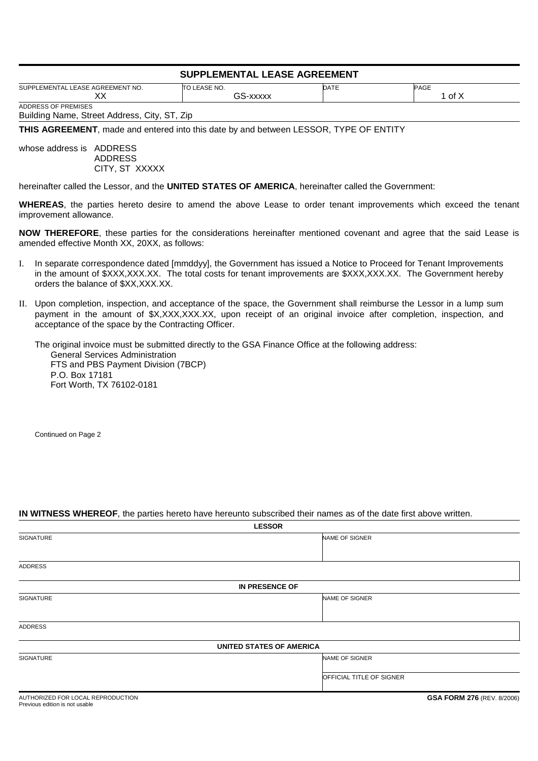## **SUPPLEMENTAL LEASE AGREEMENT**

| LEASE AGREEMENT NO.<br><b>EMENTAL</b><br><b>SUPPI</b> | TO LEASE NO.                 | <b>DATE</b> | <b>PAGE</b> |
|-------------------------------------------------------|------------------------------|-------------|-------------|
| w<br>⌒⌒                                               | n n<br><br>. Tr<br>$\lambda$ |             | ~+<br>^ טו  |
| ADDRESS OF PREMISES                                   |                              |             |             |

Building Name, Street Address, City, ST, Zip

**THIS AGREEMENT**, made and entered into this date by and between LESSOR, TYPE OF ENTITY

whose address is ADDRESS ADDRESS CITY, ST XXXXX

hereinafter called the Lessor, and the **UNITED STATES OF AMERICA**, hereinafter called the Government:

**WHEREAS**, the parties hereto desire to amend the above Lease to order tenant improvements which exceed the tenant improvement allowance.

**NOW THEREFORE**, these parties for the considerations hereinafter mentioned covenant and agree that the said Lease is amended effective Month XX, 20XX, as follows:

- I. In separate correspondence dated [mmddyy], the Government has issued a Notice to Proceed for Tenant Improvements in the amount of \$XXX,XXX.XX. The total costs for tenant improvements are \$XXX,XXX.XX. The Government hereby orders the balance of \$XX,XXX.XX.
- II. Upon completion, inspection, and acceptance of the space, the Government shall reimburse the Lessor in a lump sum payment in the amount of \$X,XXX,XXX,XX, upon receipt of an original invoice after completion, inspection, and acceptance of the space by the Contracting Officer.

The original invoice must be submitted directly to the GSA Finance Office at the following address: General Services Administration FTS and PBS Payment Division (7BCP) P.O. Box 17181 Fort Worth, TX 76102-0181

Continued on Page 2

### **IN WITNESS WHEREOF**, the parties hereto have hereunto subscribed their names as of the date first above written.

| <b>LESSOR</b>                     |                           |  |
|-----------------------------------|---------------------------|--|
| SIGNATURE                         | NAME OF SIGNER            |  |
|                                   |                           |  |
| <b>ADDRESS</b>                    |                           |  |
|                                   | IN PRESENCE OF            |  |
| SIGNATURE                         | NAME OF SIGNER            |  |
|                                   |                           |  |
| ADDRESS                           |                           |  |
|                                   | UNITED STATES OF AMERICA  |  |
| SIGNATURE                         | NAME OF SIGNER            |  |
|                                   | OFFICIAL TITLE OF SIGNER  |  |
| AUTHODIZED FOR LOCAL DEDDODUCTION | COA EODM 270 (DEV 0/2000) |  |